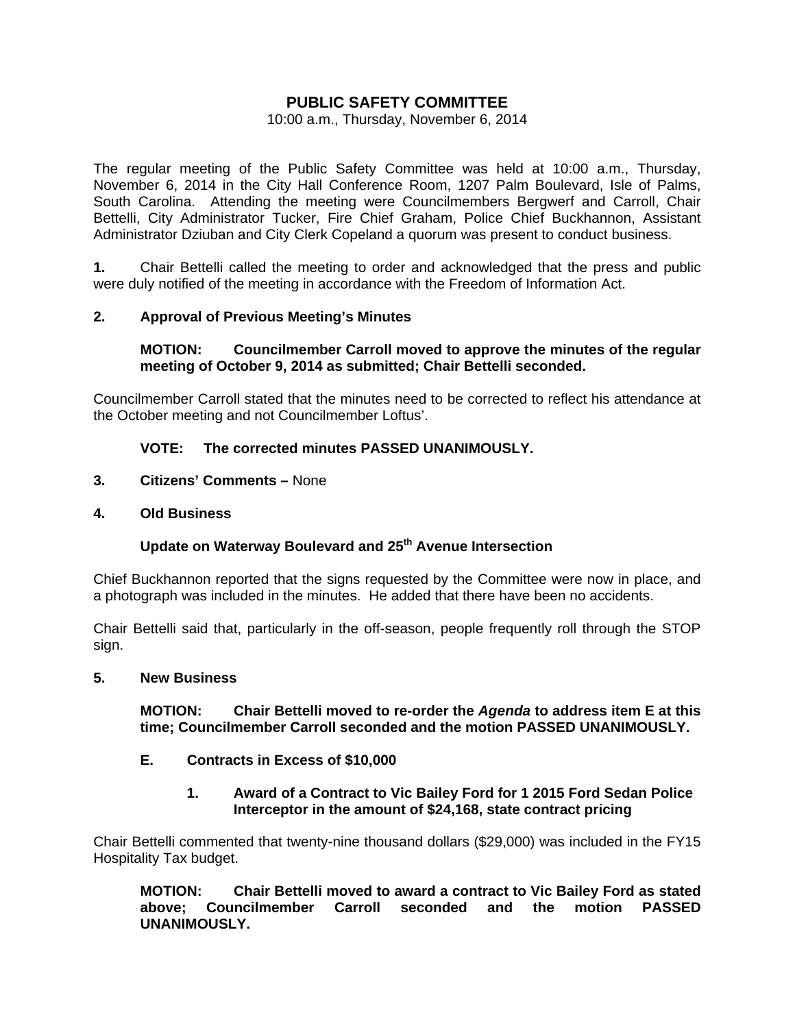# **PUBLIC SAFETY COMMITTEE**

10:00 a.m., Thursday, November 6, 2014

The regular meeting of the Public Safety Committee was held at 10:00 a.m., Thursday, November 6, 2014 in the City Hall Conference Room, 1207 Palm Boulevard, Isle of Palms, South Carolina. Attending the meeting were Councilmembers Bergwerf and Carroll, Chair Bettelli, City Administrator Tucker, Fire Chief Graham, Police Chief Buckhannon, Assistant Administrator Dziuban and City Clerk Copeland a quorum was present to conduct business.

**1.** Chair Bettelli called the meeting to order and acknowledged that the press and public were duly notified of the meeting in accordance with the Freedom of Information Act.

## **2. Approval of Previous Meeting's Minutes**

#### **MOTION: Councilmember Carroll moved to approve the minutes of the regular meeting of October 9, 2014 as submitted; Chair Bettelli seconded.**

Councilmember Carroll stated that the minutes need to be corrected to reflect his attendance at the October meeting and not Councilmember Loftus'.

# **VOTE: The corrected minutes PASSED UNANIMOUSLY.**

- **3. Citizens' Comments** None
- **4. Old Business**

# **Update on Waterway Boulevard and 25th Avenue Intersection**

Chief Buckhannon reported that the signs requested by the Committee were now in place, and a photograph was included in the minutes. He added that there have been no accidents.

Chair Bettelli said that, particularly in the off-season, people frequently roll through the STOP sign.

#### **5. New Business**

 **MOTION: Chair Bettelli moved to re-order the** *Agenda* **to address item E at this time; Councilmember Carroll seconded and the motion PASSED UNANIMOUSLY.** 

## **E. Contracts in Excess of \$10,000**

 **1. Award of a Contract to Vic Bailey Ford for 1 2015 Ford Sedan Police Interceptor in the amount of \$24,168, state contract pricing** 

Chair Bettelli commented that twenty-nine thousand dollars (\$29,000) was included in the FY15 Hospitality Tax budget.

 **MOTION: Chair Bettelli moved to award a contract to Vic Bailey Ford as stated above; Councilmember Carroll seconded and the motion PASSED UNANIMOUSLY.**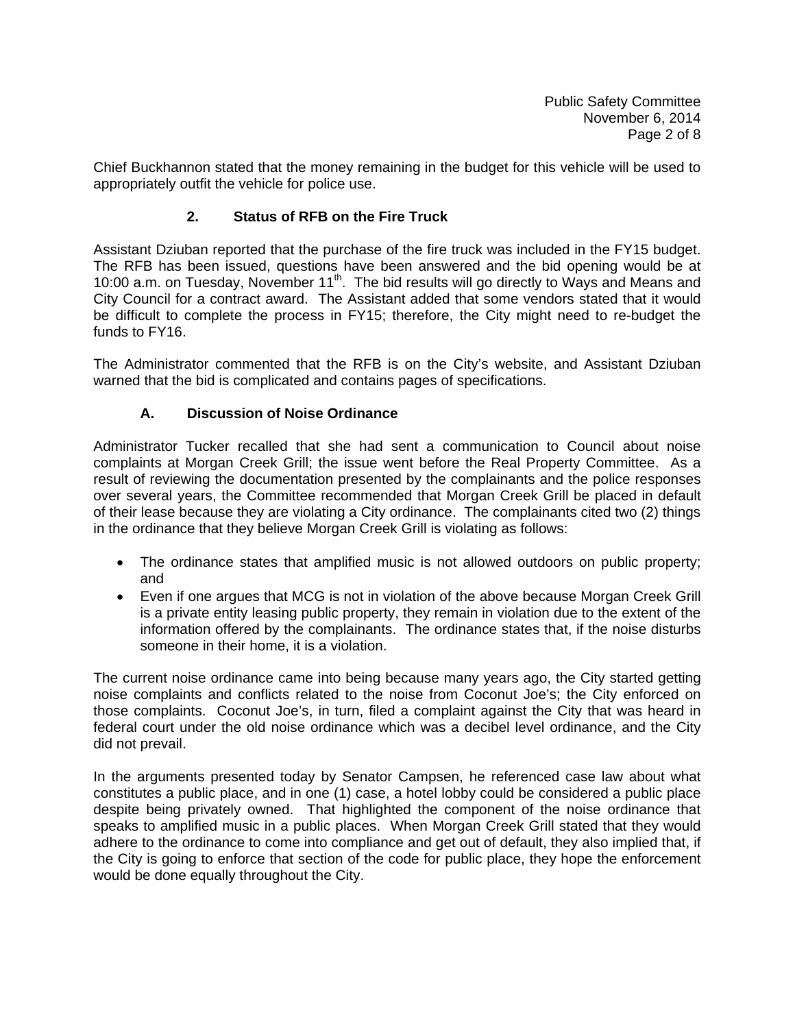Chief Buckhannon stated that the money remaining in the budget for this vehicle will be used to appropriately outfit the vehicle for police use.

# **2. Status of RFB on the Fire Truck**

Assistant Dziuban reported that the purchase of the fire truck was included in the FY15 budget. The RFB has been issued, questions have been answered and the bid opening would be at 10:00 a.m. on Tuesday, November 11<sup>th</sup>. The bid results will go directly to Ways and Means and City Council for a contract award. The Assistant added that some vendors stated that it would be difficult to complete the process in FY15; therefore, the City might need to re-budget the funds to FY16.

The Administrator commented that the RFB is on the City's website, and Assistant Dziuban warned that the bid is complicated and contains pages of specifications.

# **A. Discussion of Noise Ordinance**

Administrator Tucker recalled that she had sent a communication to Council about noise complaints at Morgan Creek Grill; the issue went before the Real Property Committee. As a result of reviewing the documentation presented by the complainants and the police responses over several years, the Committee recommended that Morgan Creek Grill be placed in default of their lease because they are violating a City ordinance. The complainants cited two (2) things in the ordinance that they believe Morgan Creek Grill is violating as follows:

- The ordinance states that amplified music is not allowed outdoors on public property; and
- Even if one argues that MCG is not in violation of the above because Morgan Creek Grill is a private entity leasing public property, they remain in violation due to the extent of the information offered by the complainants. The ordinance states that, if the noise disturbs someone in their home, it is a violation.

The current noise ordinance came into being because many years ago, the City started getting noise complaints and conflicts related to the noise from Coconut Joe's; the City enforced on those complaints. Coconut Joe's, in turn, filed a complaint against the City that was heard in federal court under the old noise ordinance which was a decibel level ordinance, and the City did not prevail.

In the arguments presented today by Senator Campsen, he referenced case law about what constitutes a public place, and in one (1) case, a hotel lobby could be considered a public place despite being privately owned. That highlighted the component of the noise ordinance that speaks to amplified music in a public places. When Morgan Creek Grill stated that they would adhere to the ordinance to come into compliance and get out of default, they also implied that, if the City is going to enforce that section of the code for public place, they hope the enforcement would be done equally throughout the City.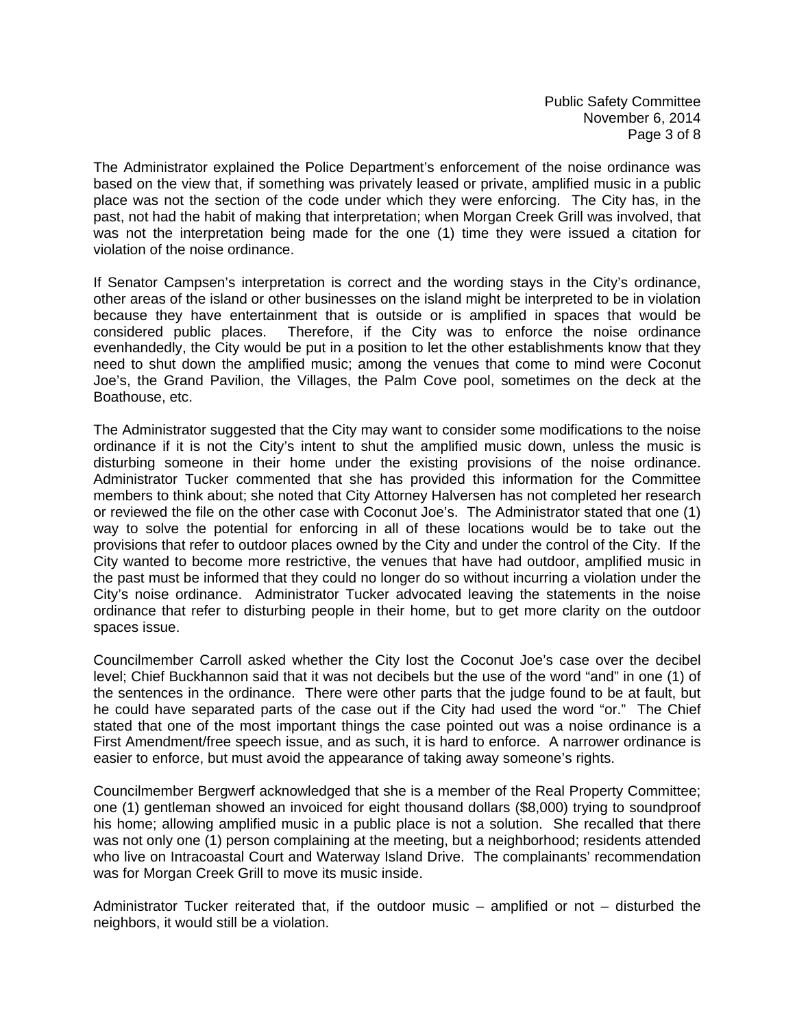Public Safety Committee November 6, 2014 Page 3 of 8

The Administrator explained the Police Department's enforcement of the noise ordinance was based on the view that, if something was privately leased or private, amplified music in a public place was not the section of the code under which they were enforcing. The City has, in the past, not had the habit of making that interpretation; when Morgan Creek Grill was involved, that was not the interpretation being made for the one (1) time they were issued a citation for violation of the noise ordinance.

If Senator Campsen's interpretation is correct and the wording stays in the City's ordinance, other areas of the island or other businesses on the island might be interpreted to be in violation because they have entertainment that is outside or is amplified in spaces that would be considered public places. Therefore, if the City was to enforce the noise ordinance evenhandedly, the City would be put in a position to let the other establishments know that they need to shut down the amplified music; among the venues that come to mind were Coconut Joe's, the Grand Pavilion, the Villages, the Palm Cove pool, sometimes on the deck at the Boathouse, etc.

The Administrator suggested that the City may want to consider some modifications to the noise ordinance if it is not the City's intent to shut the amplified music down, unless the music is disturbing someone in their home under the existing provisions of the noise ordinance. Administrator Tucker commented that she has provided this information for the Committee members to think about; she noted that City Attorney Halversen has not completed her research or reviewed the file on the other case with Coconut Joe's. The Administrator stated that one (1) way to solve the potential for enforcing in all of these locations would be to take out the provisions that refer to outdoor places owned by the City and under the control of the City. If the City wanted to become more restrictive, the venues that have had outdoor, amplified music in the past must be informed that they could no longer do so without incurring a violation under the City's noise ordinance. Administrator Tucker advocated leaving the statements in the noise ordinance that refer to disturbing people in their home, but to get more clarity on the outdoor spaces issue.

Councilmember Carroll asked whether the City lost the Coconut Joe's case over the decibel level; Chief Buckhannon said that it was not decibels but the use of the word "and" in one (1) of the sentences in the ordinance. There were other parts that the judge found to be at fault, but he could have separated parts of the case out if the City had used the word "or." The Chief stated that one of the most important things the case pointed out was a noise ordinance is a First Amendment/free speech issue, and as such, it is hard to enforce. A narrower ordinance is easier to enforce, but must avoid the appearance of taking away someone's rights.

Councilmember Bergwerf acknowledged that she is a member of the Real Property Committee; one (1) gentleman showed an invoiced for eight thousand dollars (\$8,000) trying to soundproof his home; allowing amplified music in a public place is not a solution. She recalled that there was not only one (1) person complaining at the meeting, but a neighborhood; residents attended who live on Intracoastal Court and Waterway Island Drive. The complainants' recommendation was for Morgan Creek Grill to move its music inside.

Administrator Tucker reiterated that, if the outdoor music – amplified or not – disturbed the neighbors, it would still be a violation.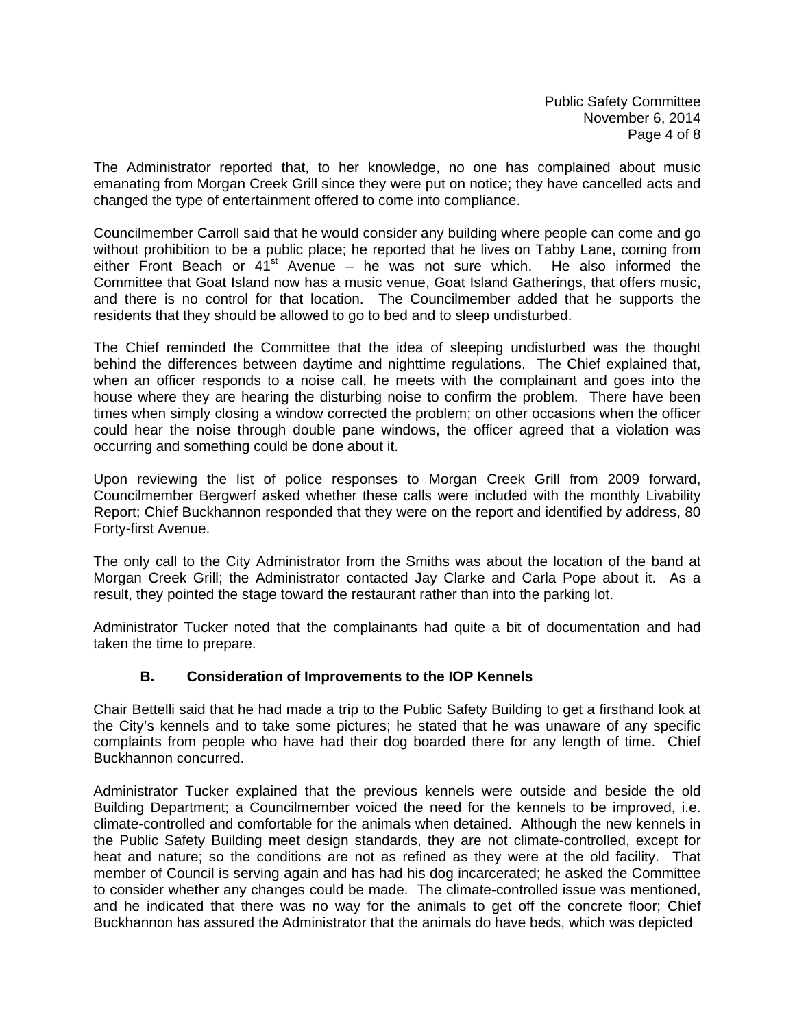The Administrator reported that, to her knowledge, no one has complained about music emanating from Morgan Creek Grill since they were put on notice; they have cancelled acts and changed the type of entertainment offered to come into compliance.

Councilmember Carroll said that he would consider any building where people can come and go without prohibition to be a public place; he reported that he lives on Tabby Lane, coming from either Front Beach or  $41<sup>st</sup>$  Avenue – he was not sure which. He also informed the Committee that Goat Island now has a music venue, Goat Island Gatherings, that offers music, and there is no control for that location. The Councilmember added that he supports the residents that they should be allowed to go to bed and to sleep undisturbed.

The Chief reminded the Committee that the idea of sleeping undisturbed was the thought behind the differences between daytime and nighttime regulations. The Chief explained that, when an officer responds to a noise call, he meets with the complainant and goes into the house where they are hearing the disturbing noise to confirm the problem. There have been times when simply closing a window corrected the problem; on other occasions when the officer could hear the noise through double pane windows, the officer agreed that a violation was occurring and something could be done about it.

Upon reviewing the list of police responses to Morgan Creek Grill from 2009 forward, Councilmember Bergwerf asked whether these calls were included with the monthly Livability Report; Chief Buckhannon responded that they were on the report and identified by address, 80 Forty-first Avenue.

The only call to the City Administrator from the Smiths was about the location of the band at Morgan Creek Grill; the Administrator contacted Jay Clarke and Carla Pope about it. As a result, they pointed the stage toward the restaurant rather than into the parking lot.

Administrator Tucker noted that the complainants had quite a bit of documentation and had taken the time to prepare.

## **B. Consideration of Improvements to the IOP Kennels**

Chair Bettelli said that he had made a trip to the Public Safety Building to get a firsthand look at the City's kennels and to take some pictures; he stated that he was unaware of any specific complaints from people who have had their dog boarded there for any length of time. Chief Buckhannon concurred.

Administrator Tucker explained that the previous kennels were outside and beside the old Building Department; a Councilmember voiced the need for the kennels to be improved, i.e. climate-controlled and comfortable for the animals when detained. Although the new kennels in the Public Safety Building meet design standards, they are not climate-controlled, except for heat and nature; so the conditions are not as refined as they were at the old facility. That member of Council is serving again and has had his dog incarcerated; he asked the Committee to consider whether any changes could be made. The climate-controlled issue was mentioned, and he indicated that there was no way for the animals to get off the concrete floor; Chief Buckhannon has assured the Administrator that the animals do have beds, which was depicted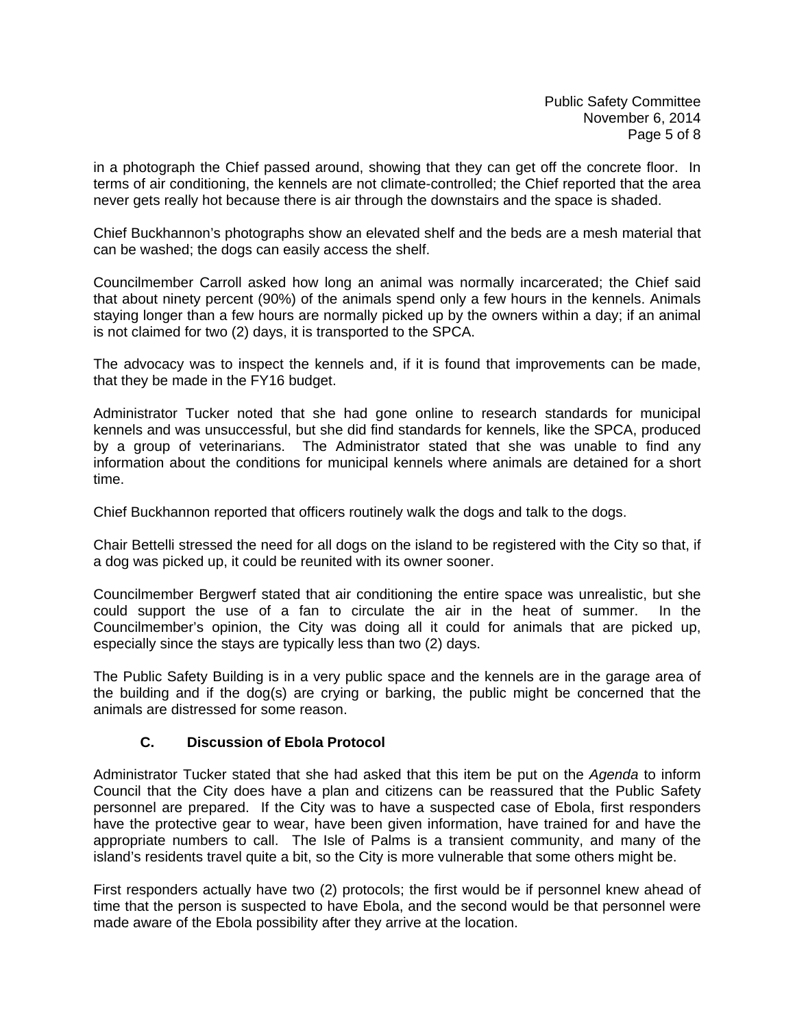in a photograph the Chief passed around, showing that they can get off the concrete floor. In terms of air conditioning, the kennels are not climate-controlled; the Chief reported that the area never gets really hot because there is air through the downstairs and the space is shaded.

Chief Buckhannon's photographs show an elevated shelf and the beds are a mesh material that can be washed; the dogs can easily access the shelf.

Councilmember Carroll asked how long an animal was normally incarcerated; the Chief said that about ninety percent (90%) of the animals spend only a few hours in the kennels. Animals staying longer than a few hours are normally picked up by the owners within a day; if an animal is not claimed for two (2) days, it is transported to the SPCA.

The advocacy was to inspect the kennels and, if it is found that improvements can be made, that they be made in the FY16 budget.

Administrator Tucker noted that she had gone online to research standards for municipal kennels and was unsuccessful, but she did find standards for kennels, like the SPCA, produced by a group of veterinarians. The Administrator stated that she was unable to find any information about the conditions for municipal kennels where animals are detained for a short time.

Chief Buckhannon reported that officers routinely walk the dogs and talk to the dogs.

Chair Bettelli stressed the need for all dogs on the island to be registered with the City so that, if a dog was picked up, it could be reunited with its owner sooner.

Councilmember Bergwerf stated that air conditioning the entire space was unrealistic, but she could support the use of a fan to circulate the air in the heat of summer. In the Councilmember's opinion, the City was doing all it could for animals that are picked up, especially since the stays are typically less than two (2) days.

The Public Safety Building is in a very public space and the kennels are in the garage area of the building and if the dog(s) are crying or barking, the public might be concerned that the animals are distressed for some reason.

# **C. Discussion of Ebola Protocol**

Administrator Tucker stated that she had asked that this item be put on the *Agenda* to inform Council that the City does have a plan and citizens can be reassured that the Public Safety personnel are prepared. If the City was to have a suspected case of Ebola, first responders have the protective gear to wear, have been given information, have trained for and have the appropriate numbers to call. The Isle of Palms is a transient community, and many of the island's residents travel quite a bit, so the City is more vulnerable that some others might be.

First responders actually have two (2) protocols; the first would be if personnel knew ahead of time that the person is suspected to have Ebola, and the second would be that personnel were made aware of the Ebola possibility after they arrive at the location.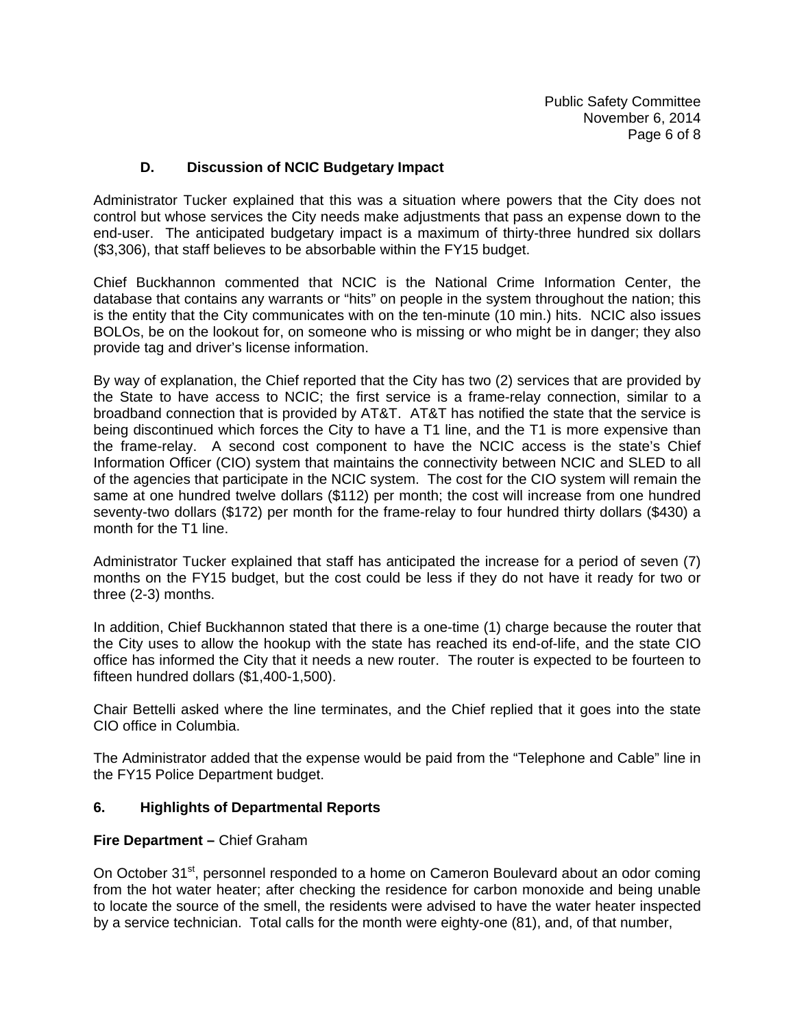# **D. Discussion of NCIC Budgetary Impact**

Administrator Tucker explained that this was a situation where powers that the City does not control but whose services the City needs make adjustments that pass an expense down to the end-user. The anticipated budgetary impact is a maximum of thirty-three hundred six dollars (\$3,306), that staff believes to be absorbable within the FY15 budget.

Chief Buckhannon commented that NCIC is the National Crime Information Center, the database that contains any warrants or "hits" on people in the system throughout the nation; this is the entity that the City communicates with on the ten-minute (10 min.) hits. NCIC also issues BOLOs, be on the lookout for, on someone who is missing or who might be in danger; they also provide tag and driver's license information.

By way of explanation, the Chief reported that the City has two (2) services that are provided by the State to have access to NCIC; the first service is a frame-relay connection, similar to a broadband connection that is provided by AT&T. AT&T has notified the state that the service is being discontinued which forces the City to have a T1 line, and the T1 is more expensive than the frame-relay. A second cost component to have the NCIC access is the state's Chief Information Officer (CIO) system that maintains the connectivity between NCIC and SLED to all of the agencies that participate in the NCIC system. The cost for the CIO system will remain the same at one hundred twelve dollars (\$112) per month; the cost will increase from one hundred seventy-two dollars (\$172) per month for the frame-relay to four hundred thirty dollars (\$430) a month for the T1 line.

Administrator Tucker explained that staff has anticipated the increase for a period of seven (7) months on the FY15 budget, but the cost could be less if they do not have it ready for two or three (2-3) months.

In addition, Chief Buckhannon stated that there is a one-time (1) charge because the router that the City uses to allow the hookup with the state has reached its end-of-life, and the state CIO office has informed the City that it needs a new router. The router is expected to be fourteen to fifteen hundred dollars (\$1,400-1,500).

Chair Bettelli asked where the line terminates, and the Chief replied that it goes into the state CIO office in Columbia.

The Administrator added that the expense would be paid from the "Telephone and Cable" line in the FY15 Police Department budget.

## **6. Highlights of Departmental Reports**

#### **Fire Department –** Chief Graham

On October 31<sup>st</sup>, personnel responded to a home on Cameron Boulevard about an odor coming from the hot water heater; after checking the residence for carbon monoxide and being unable to locate the source of the smell, the residents were advised to have the water heater inspected by a service technician. Total calls for the month were eighty-one (81), and, of that number,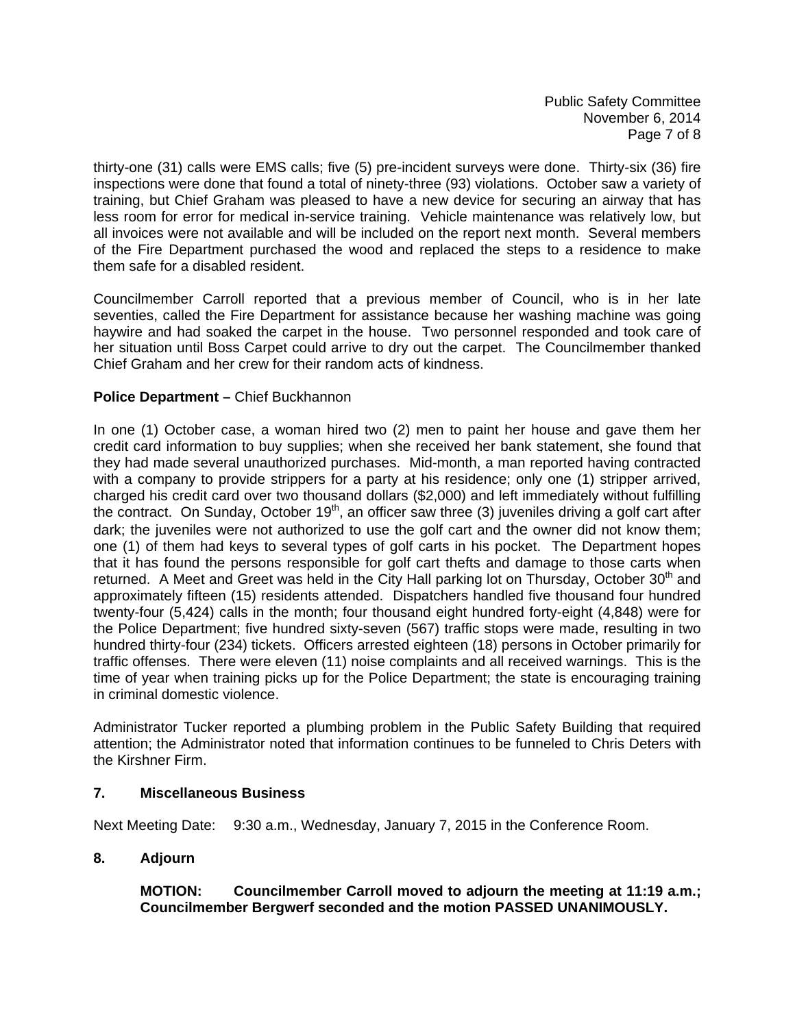Public Safety Committee November 6, 2014 Page 7 of 8

thirty-one (31) calls were EMS calls; five (5) pre-incident surveys were done. Thirty-six (36) fire inspections were done that found a total of ninety-three (93) violations. October saw a variety of training, but Chief Graham was pleased to have a new device for securing an airway that has less room for error for medical in-service training. Vehicle maintenance was relatively low, but all invoices were not available and will be included on the report next month. Several members of the Fire Department purchased the wood and replaced the steps to a residence to make them safe for a disabled resident.

Councilmember Carroll reported that a previous member of Council, who is in her late seventies, called the Fire Department for assistance because her washing machine was going haywire and had soaked the carpet in the house. Two personnel responded and took care of her situation until Boss Carpet could arrive to dry out the carpet. The Councilmember thanked Chief Graham and her crew for their random acts of kindness.

## **Police Department – Chief Buckhannon**

In one (1) October case, a woman hired two (2) men to paint her house and gave them her credit card information to buy supplies; when she received her bank statement, she found that they had made several unauthorized purchases. Mid-month, a man reported having contracted with a company to provide strippers for a party at his residence; only one (1) stripper arrived, charged his credit card over two thousand dollars (\$2,000) and left immediately without fulfilling the contract. On Sunday, October 19<sup>th</sup>, an officer saw three (3) juveniles driving a golf cart after dark; the juveniles were not authorized to use the golf cart and the owner did not know them; one (1) of them had keys to several types of golf carts in his pocket. The Department hopes that it has found the persons responsible for golf cart thefts and damage to those carts when returned. A Meet and Greet was held in the City Hall parking lot on Thursday, October 30<sup>th</sup> and approximately fifteen (15) residents attended. Dispatchers handled five thousand four hundred twenty-four (5,424) calls in the month; four thousand eight hundred forty-eight (4,848) were for the Police Department; five hundred sixty-seven (567) traffic stops were made, resulting in two hundred thirty-four (234) tickets. Officers arrested eighteen (18) persons in October primarily for traffic offenses. There were eleven (11) noise complaints and all received warnings. This is the time of year when training picks up for the Police Department; the state is encouraging training in criminal domestic violence.

Administrator Tucker reported a plumbing problem in the Public Safety Building that required attention; the Administrator noted that information continues to be funneled to Chris Deters with the Kirshner Firm.

#### **7. Miscellaneous Business**

Next Meeting Date: 9:30 a.m., Wednesday, January 7, 2015 in the Conference Room.

## **8. Adjourn**

 **MOTION: Councilmember Carroll moved to adjourn the meeting at 11:19 a.m.; Councilmember Bergwerf seconded and the motion PASSED UNANIMOUSLY.**